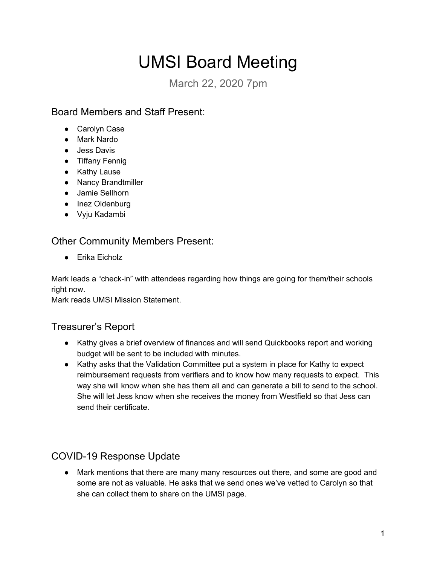# UMSI Board Meeting

March 22, 2020 7pm

### Board Members and Staff Present:

- Carolyn Case
- Mark Nardo
- Jess Davis
- Tiffany Fennig
- Kathy Lause
- Nancy Brandtmiller
- Jamie Sellhorn
- Inez Oldenburg
- Vyju Kadambi

#### Other Community Members Present:

● Erika Eicholz

Mark leads a "check-in" with attendees regarding how things are going for them/their schools right now.

Mark reads UMSI Mission Statement.

### Treasurer's Report

- Kathy gives a brief overview of finances and will send Quickbooks report and working budget will be sent to be included with minutes.
- Kathy asks that the Validation Committee put a system in place for Kathy to expect reimbursement requests from verifiers and to know how many requests to expect. This way she will know when she has them all and can generate a bill to send to the school. She will let Jess know when she receives the money from Westfield so that Jess can send their certificate.

## COVID-19 Response Update

● Mark mentions that there are many many resources out there, and some are good and some are not as valuable. He asks that we send ones we've vetted to Carolyn so that she can collect them to share on the UMSI page.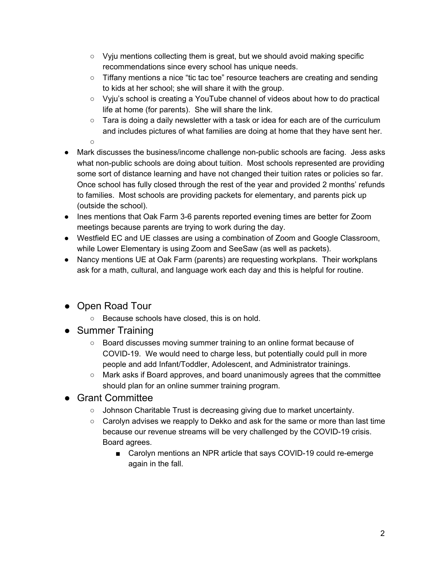- $\circ$  Vyju mentions collecting them is great, but we should avoid making specific recommendations since every school has unique needs.
- Tiffany mentions a nice "tic tac toe" resource teachers are creating and sending to kids at her school; she will share it with the group.
- Vyju's school is creating a YouTube channel of videos about how to do practical life at home (for parents). She will share the link.
- $\circ$  Tara is doing a daily newsletter with a task or idea for each are of the curriculum and includes pictures of what families are doing at home that they have sent her.
- ○
- Mark discusses the business/income challenge non-public schools are facing. Jess asks what non-public schools are doing about tuition. Most schools represented are providing some sort of distance learning and have not changed their tuition rates or policies so far. Once school has fully closed through the rest of the year and provided 2 months' refunds to families. Most schools are providing packets for elementary, and parents pick up (outside the school).
- Ines mentions that Oak Farm 3-6 parents reported evening times are better for Zoom meetings because parents are trying to work during the day.
- Westfield EC and UE classes are using a combination of Zoom and Google Classroom, while Lower Elementary is using Zoom and SeeSaw (as well as packets).
- Nancy mentions UE at Oak Farm (parents) are requesting workplans. Their workplans ask for a math, cultural, and language work each day and this is helpful for routine.
- Open Road Tour
	- Because schools have closed, this is on hold.
- Summer Training
	- Board discusses moving summer training to an online format because of COVID-19. We would need to charge less, but potentially could pull in more people and add Infant/Toddler, Adolescent, and Administrator trainings.
	- Mark asks if Board approves, and board unanimously agrees that the committee should plan for an online summer training program.
- Grant Committee
	- Johnson Charitable Trust is decreasing giving due to market uncertainty.
	- $\circ$  Carolyn advises we reapply to Dekko and ask for the same or more than last time because our revenue streams will be very challenged by the COVID-19 crisis. Board agrees.
		- Carolyn mentions an NPR article that says COVID-19 could re-emerge again in the fall.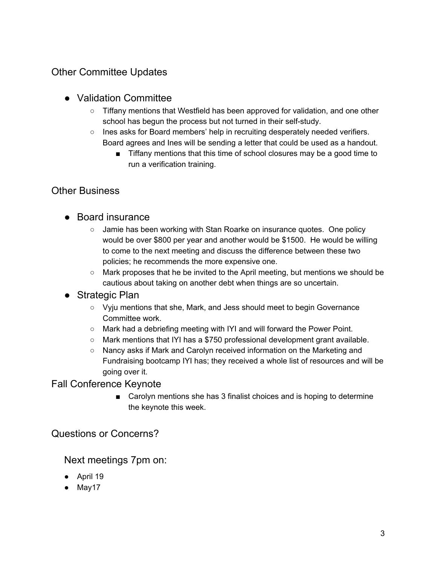### Other Committee Updates

#### ● Validation Committee

- Tiffany mentions that Westfield has been approved for validation, and one other school has begun the process but not turned in their self-study.
- $\circ$  Ines asks for Board members' help in recruiting desperately needed verifiers. Board agrees and Ines will be sending a letter that could be used as a handout.
	- Tiffany mentions that this time of school closures may be a good time to run a verification training.

#### Other Business

- Board insurance
	- $\circ$  Jamie has been working with Stan Roarke on insurance quotes. One policy would be over \$800 per year and another would be \$1500. He would be willing to come to the next meeting and discuss the difference between these two policies; he recommends the more expensive one.
	- Mark proposes that he be invited to the April meeting, but mentions we should be cautious about taking on another debt when things are so uncertain.
- Strategic Plan
	- Vyju mentions that she, Mark, and Jess should meet to begin Governance Committee work.
	- Mark had a debriefing meeting with IYI and will forward the Power Point.
	- $\circ$  Mark mentions that IYI has a \$750 professional development grant available.
	- Nancy asks if Mark and Carolyn received information on the Marketing and Fundraising bootcamp IYI has; they received a whole list of resources and will be going over it.

Fall Conference Keynote

■ Carolyn mentions she has 3 finalist choices and is hoping to determine the keynote this week.

Questions or Concerns?

Next meetings 7pm on:

- April 19
- May17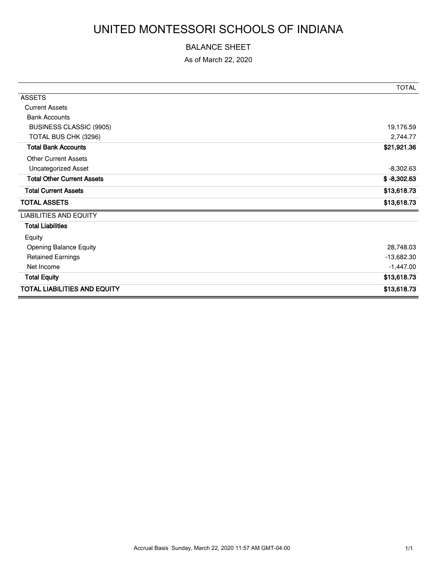# UNITED MONTESSORI SCHOOLS OF INDIANA

#### BALANCE SHEET

As of March 22, 2020

|                                     | <b>TOTAL</b>  |
|-------------------------------------|---------------|
| <b>ASSETS</b>                       |               |
| <b>Current Assets</b>               |               |
| <b>Bank Accounts</b>                |               |
| BUSINESS CLASSIC (9905)             | 19,176.59     |
| TOTAL BUS CHK (3296)                | 2,744.77      |
| <b>Total Bank Accounts</b>          | \$21,921.36   |
| <b>Other Current Assets</b>         |               |
| <b>Uncategorized Asset</b>          | $-8,302.63$   |
| <b>Total Other Current Assets</b>   | $$ -8,302.63$ |
| <b>Total Current Assets</b>         | \$13,618.73   |
| <b>TOTAL ASSETS</b>                 | \$13,618.73   |
| <b>LIABILITIES AND EQUITY</b>       |               |
| <b>Total Liabilities</b>            |               |
| Equity                              |               |
| <b>Opening Balance Equity</b>       | 28,748.03     |
| <b>Retained Earnings</b>            | $-13,682.30$  |
| Net Income                          | $-1,447.00$   |
| <b>Total Equity</b>                 | \$13,618.73   |
| <b>TOTAL LIABILITIES AND EQUITY</b> | \$13,618.73   |